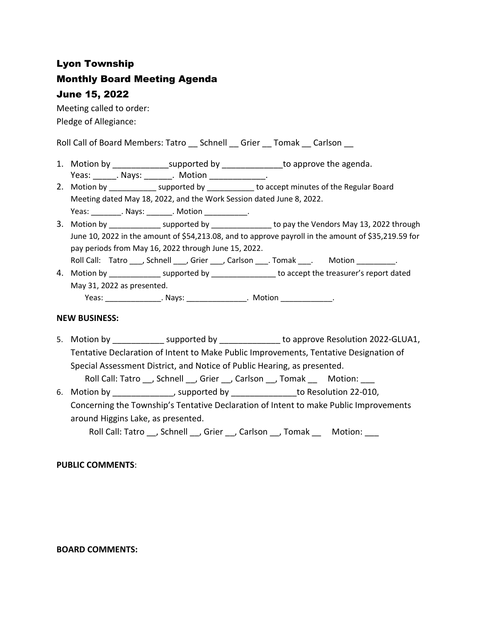## Lyon Township Monthly Board Meeting Agenda June 15, 2022

Meeting called to order:

Pledge of Allegiance:

Roll Call of Board Members: Tatro \_\_ Schnell \_\_ Grier \_\_ Tomak \_\_ Carlson

- 1. Motion by \_\_\_\_\_\_\_\_\_\_\_\_\_\_\_\_supported by \_\_\_\_\_\_\_\_\_\_\_\_\_\_\_\_to approve the agenda. Yeas: \_\_\_\_\_\_\_. Nays: \_\_\_\_\_\_\_\_. Motion \_\_\_\_\_\_\_\_\_\_\_\_\_\_\_.
- 2. Motion by \_\_\_\_\_\_\_\_\_\_\_\_\_ supported by \_\_\_\_\_\_\_\_\_\_\_ to accept minutes of the Regular Board Meeting dated May 18, 2022, and the Work Session dated June 8, 2022. Yeas: \_\_\_\_\_\_\_\_\_. Nays: \_\_\_\_\_\_\_. Motion \_\_\_\_\_\_\_\_\_\_\_.
- 3. Motion by \_\_\_\_\_\_\_\_\_\_\_\_\_ supported by \_\_\_\_\_\_\_\_\_\_\_\_\_\_ to pay the Vendors May 13, 2022 through June 10, 2022 in the amount of \$54,213.08, and to approve payroll in the amount of \$35,219.59 for pay periods from May 16, 2022 through June 15, 2022. Roll Call: Tatro \_\_\_, Schnell \_\_\_, Grier \_\_\_, Carlson \_\_\_\_. Tomak \_\_\_. Motion \_\_\_\_\_\_\_\_\_.
- 4. Motion by \_\_\_\_\_\_\_\_\_\_\_\_\_\_\_ supported by \_\_\_\_\_\_\_\_\_\_\_\_\_\_\_\_\_\_ to accept the treasurer's report dated May 31, 2022 as presented. Yeas: \_\_\_\_\_\_\_\_\_\_\_\_\_\_\_\_\_. Nays: \_\_\_\_\_\_\_\_\_\_\_\_\_\_\_\_. Motion \_\_\_\_\_\_\_\_\_\_\_\_\_\_.

## **NEW BUSINESS:**

- 5. Motion by \_\_\_\_\_\_\_\_\_\_\_ supported by \_\_\_\_\_\_\_\_\_\_\_\_\_ to approve Resolution 2022-GLUA1, Tentative Declaration of Intent to Make Public Improvements, Tentative Designation of Special Assessment District, and Notice of Public Hearing, as presented. Roll Call: Tatro \_\_, Schnell \_\_, Grier \_\_, Carlson \_\_, Tomak \_\_ Motion: \_\_\_
- 6. Motion by \_\_\_\_\_\_\_\_\_\_\_\_\_, supported by \_\_\_\_\_\_\_\_\_\_\_\_\_\_to Resolution 22-010, Concerning the Township's Tentative Declaration of Intent to make Public Improvements around Higgins Lake, as presented.

Roll Call: Tatro \_\_, Schnell \_\_, Grier \_\_, Carlson \_\_, Tomak \_\_\_\_ Motion:

## **PUBLIC COMMENTS**:

## **BOARD COMMENTS:**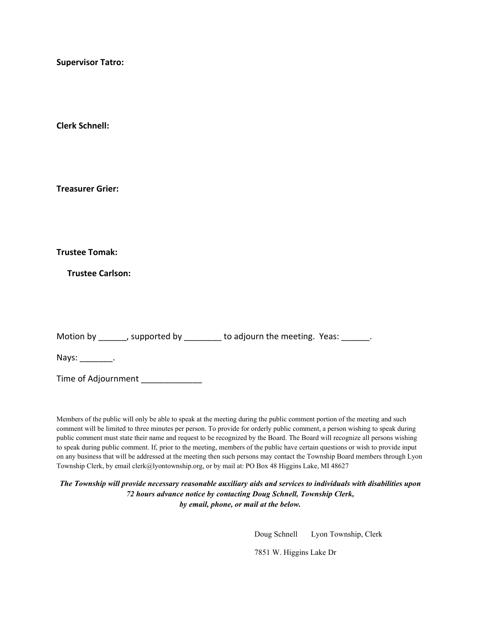**Supervisor Tatro:**

**Clerk Schnell:** 

**Treasurer Grier:**

**Trustee Tomak:**

**Trustee Carlson:**

| Motion by | , supported by | to adjourn the meeting. Yeas: |  |
|-----------|----------------|-------------------------------|--|
|           |                |                               |  |

Nays: \_\_\_\_\_\_\_\_\_.

Time of Adjournment \_\_\_\_\_\_\_\_\_\_\_\_\_

Members of the public will only be able to speak at the meeting during the public comment portion of the meeting and such comment will be limited to three minutes per person. To provide for orderly public comment, a person wishing to speak during public comment must state their name and request to be recognized by the Board. The Board will recognize all persons wishing to speak during public comment. If, prior to the meeting, members of the public have certain questions or wish to provide input on any business that will be addressed at the meeting then such persons may contact the Township Board members through Lyon Township Clerk, by email clerk@lyontownship.org, or by mail at: PO Box 48 Higgins Lake, MI 48627

*The Township will provide necessary reasonable auxiliary aids and services to individuals with disabilities upon 72 hours advance notice by contacting Doug Schnell, Township Clerk, by email, phone, or mail at the below.*

Doug Schnell Lyon Township, Clerk

7851 W. Higgins Lake Dr